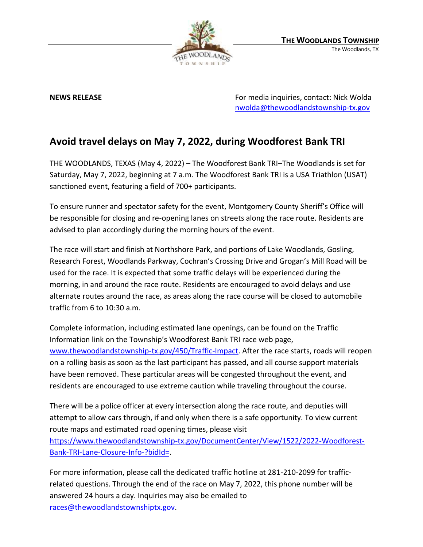

**NEWS RELEASE EXECUTE:** NEWS **RELEASE For media inquiries, contact: Nick Wolda** [nwolda@thewoodlandstownship-tx.gov](mailto:nwolda@thewoodlandstownship-tx.gov)

## **Avoid travel delays on May 7, 2022, during Woodforest Bank TRI**

THE WOODLANDS, TEXAS (May 4, 2022) – The Woodforest Bank TRI–The Woodlands is set for Saturday, May 7, 2022, beginning at 7 a.m. The Woodforest Bank TRI is a USA Triathlon (USAT) sanctioned event, featuring a field of 700+ participants.

To ensure runner and spectator safety for the event, Montgomery County Sheriff's Office will be responsible for closing and re-opening lanes on streets along the race route. Residents are advised to plan accordingly during the morning hours of the event.

The race will start and finish at Northshore Park, and portions of Lake Woodlands, Gosling, Research Forest, Woodlands Parkway, Cochran's Crossing Drive and Grogan's Mill Road will be used for the race. It is expected that some traffic delays will be experienced during the morning, in and around the race route. Residents are encouraged to avoid delays and use alternate routes around the race, as areas along the race course will be closed to automobile traffic from 6 to 10:30 a.m.

Complete information, including estimated lane openings, can be found on the Traffic Information link on the Township's Woodforest Bank TRI race web page, [www.thewoodlandstownship-tx.gov/450/Traffic-Impact.](http://www.thewoodlandstownship-tx.gov/450/Traffic-Impact) After the race starts, roads will reopen on a rolling basis as soon as the last participant has passed, and all course support materials have been removed. These particular areas will be congested throughout the event, and residents are encouraged to use extreme caution while traveling throughout the course.

There will be a police officer at every intersection along the race route, and deputies will attempt to allow cars through, if and only when there is a safe opportunity. To view current route maps and estimated road opening times, please visit [https://www.thewoodlandstownship-tx.gov/DocumentCenter/View/1522/2022-Woodforest-](https://www.thewoodlandstownship-tx.gov/DocumentCenter/View/1522/2022-Woodforest-Bank-TRI-Lane-Closure-Info-?bidId=)

[Bank-TRI-Lane-Closure-Info-?bidId=.](https://www.thewoodlandstownship-tx.gov/DocumentCenter/View/1522/2022-Woodforest-Bank-TRI-Lane-Closure-Info-?bidId=)

For more information, please call the dedicated traffic hotline at 281-210-2099 for trafficrelated questions. Through the end of the race on May 7, 2022, this phone number will be answered 24 hours a day. Inquiries may also be emailed to [races@thewoodlandstownshiptx.gov.](mailto:races@thewoodlandstownshiptx.gov)